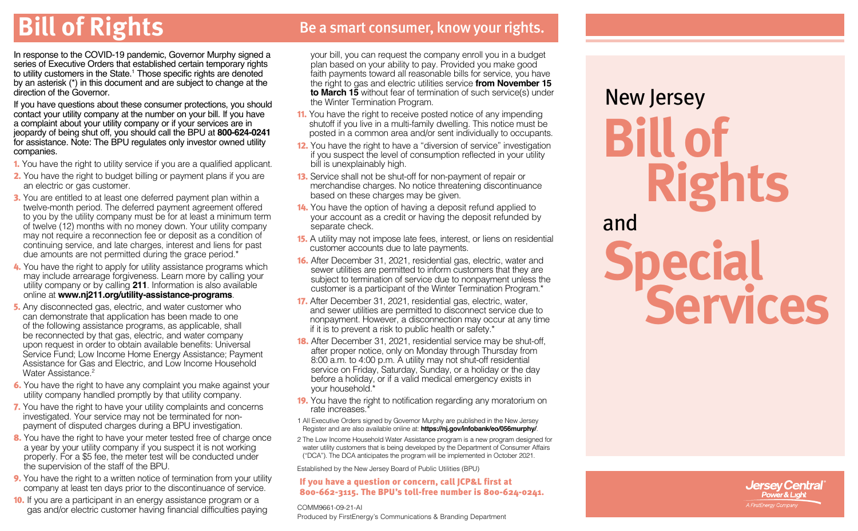**Bill of Rights** Be a smart consumer, know your rights.

In response to the COVID-19 pandemic, Governor Murphy signed a series of Executive Orders that established certain temporary rights to utility customers in the State.1 Those specific rights are denoted by an asterisk (\*) in this document and are subject to change at the direction of the Governor.

If you have questions about these consumer protections, you should contact your utility company at the number on your bill. If you have a complaint about your utility company or if your services are in jeopardy of being shut off, you should call the BPU at **800-624-0241** for assistance. Note: The BPU regulates only investor owned utility companies.

- 1. You have the right to utility service if you are a qualified applicant.
- **2.** You have the right to budget billing or payment plans if you are an electric or gas customer.
- 3. You are entitled to at least one deferred payment plan within a twelve-month period. The deferred payment agreement offered to you by the utility company must be for at least a minimum term of twelve (12) months with no money down. Your utility company may not require a reconnection fee or deposit as a condition of continuing service, and late charges, interest and liens for past due amounts are not permitted during the grace period.\*
- 4. You have the right to apply for utility assistance programs which may include arrearage forgiveness. Learn more by calling your utility company or by calling **211**. Information is also available online at **www[.nj211.org/utility-assistance-programs](https://nj211.org/utility-assistance-programs)**.
- 5. Any disconnected gas, electric, and water customer who can demonstrate that application has been made to one of the following assistance programs, as applicable, shall be reconnected by that gas, electric, and water company upon request in order to obtain available benefits: Universal Service Fund; Low Income Home Energy Assistance; Payment Assistance for Gas and Electric, and Low Income Household Water Assistance<sup>2</sup>
- 6. You have the right to have any complaint you make against your utility company handled promptly by that utility company.
- 7. You have the right to have your utility complaints and concerns investigated. Your service may not be terminated for nonpayment of disputed charges during a BPU investigation.
- 8. You have the right to have your meter tested free of charge once a year by your utility company if you suspect it is not working properly. For a \$5 fee, the meter test will be conducted under the supervision of the staff of the BPU.
- 9. You have the right to a written notice of termination from your utility company at least ten days prior to the discontinuance of service.
- 10. If you are a participant in an energy assistance program or a gas and/or electric customer having financial difficulties paying

your bill, you can request the company enroll you in a budget plan based on your ability to pay. Provided you make good faith payments toward all reasonable bills for service, you have the right to gas and electric utilities service **from November 15 to March 15** without fear of termination of such service(s) under the Winter Termination Program.

- 11. You have the right to receive posted notice of any impending shutoff if you live in a multi-family dwelling. This notice must be posted in a common area and/or sent individually to occupants.
- 12. You have the right to have a "diversion of service" investigation if you suspect the level of consumption reflected in your utility bill is unexplainably high.
- 13. Service shall not be shut-off for non-payment of repair or merchandise charges. No notice threatening discontinuance based on these charges may be given.
- 14. You have the option of having a deposit refund applied to your account as a credit or having the deposit refunded by separate check.
- 15. A utility may not impose late fees, interest, or liens on residential customer accounts due to late payments.
- 16. After December 31, 2021, residential gas, electric, water and sewer utilities are permitted to inform customers that they are subject to termination of service due to nonpayment unless the customer is a participant of the Winter Termination Program.\*
- 17. After December 31, 2021, residential gas, electric, water, and sewer utilities are permitted to disconnect service due to nonpayment. However, a disconnection may occur at any time if it is to prevent a risk to public health or safety.\*
- **18.** After December 31, 2021, residential service may be shut-off. after proper notice, only on Monday through Thursday from 8:00 a.m. to 4:00 p.m. A utility may not shut-off residential service on Friday, Saturday, Sunday, or a holiday or the day before a holiday, or if a valid medical emergency exists in your household.\*
- 19. You have the right to notification regarding any moratorium on rate increases.\*

1 All Executive Orders signed by Governor Murphy are published in the New Jersey Register and are also available online at: **https://nj.gov/infobank/eo/056murphy/**.

2 The Low Income Household Water Assistance program is a new program designed for water utility customers that is being developed by the Department of Consumer Affairs ("DCA"). The DCA anticipates the program will be implemented in October 2021.

Established by the New Jersey Board of Public Utilities (BPU)

#### If you have a question or concern, call JCP&L first at 800-662-3115. The BPU's toll-free number is 800-624-0241.

COMM9661-09-21-AI Produced by FirstEnergy's Communications & Branding Department

# **Special Services Bill of Rights** New Jersey and

**Jersey Central**<br>Power & Light